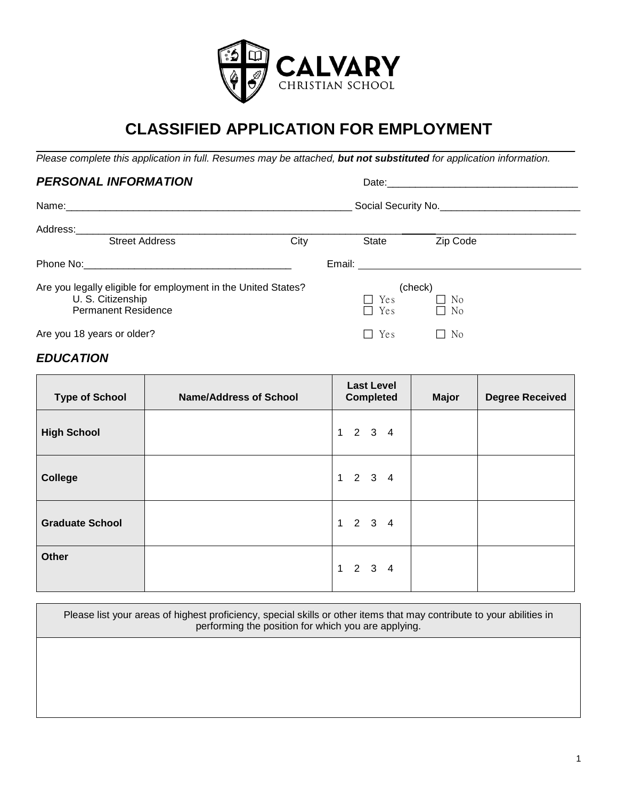

# **CLASSIFIED APPLICATION FOR EMPLOYMENT**

 $\overline{\phantom{a}}$  , and the contribution of the contribution of the contribution of the contribution of the contribution of the contribution of the contribution of the contribution of the contribution of the contribution of the *Please complete this application in full. Resumes may be attached, but not substituted for application information.*

| <b>PERSONAL INFORMATION</b>                                                                                      |                     |                          | Date:                             |  |
|------------------------------------------------------------------------------------------------------------------|---------------------|--------------------------|-----------------------------------|--|
|                                                                                                                  | Social Security No. |                          |                                   |  |
| Address:__________________________<br><b>Street Address</b>                                                      | City                | State                    | Zip Code                          |  |
|                                                                                                                  |                     |                          |                                   |  |
| Are you legally eligible for employment in the United States?<br>U. S. Citizenship<br><b>Permanent Residence</b> |                     | $\Box$ Yes<br>$\Box$ Yes | (check)<br>$\Box$ No<br>$\Box$ No |  |
| Are you 18 years or older?                                                                                       |                     | Yes<br>$\Box$            | N <sub>0</sub><br>$\mathsf{L}$    |  |
| <b>EDUCATION</b>                                                                                                 |                     |                          |                                   |  |

| <b>Type of School</b>  | <b>Name/Address of School</b> | <b>Last Level</b><br><b>Completed</b> | <b>Major</b> | <b>Degree Received</b> |
|------------------------|-------------------------------|---------------------------------------|--------------|------------------------|
| <b>High School</b>     |                               | $1 \quad 2 \quad 3 \quad 4$           |              |                        |
| <b>College</b>         |                               | $1 \quad 2 \quad 3 \quad 4$           |              |                        |
| <b>Graduate School</b> |                               | $1 \quad 2 \quad 3 \quad 4$           |              |                        |
| Other                  |                               | $1 \quad 2 \quad 3 \quad 4$           |              |                        |

Please list your areas of highest proficiency, special skills or other items that may contribute to your abilities in performing the position for which you are applying.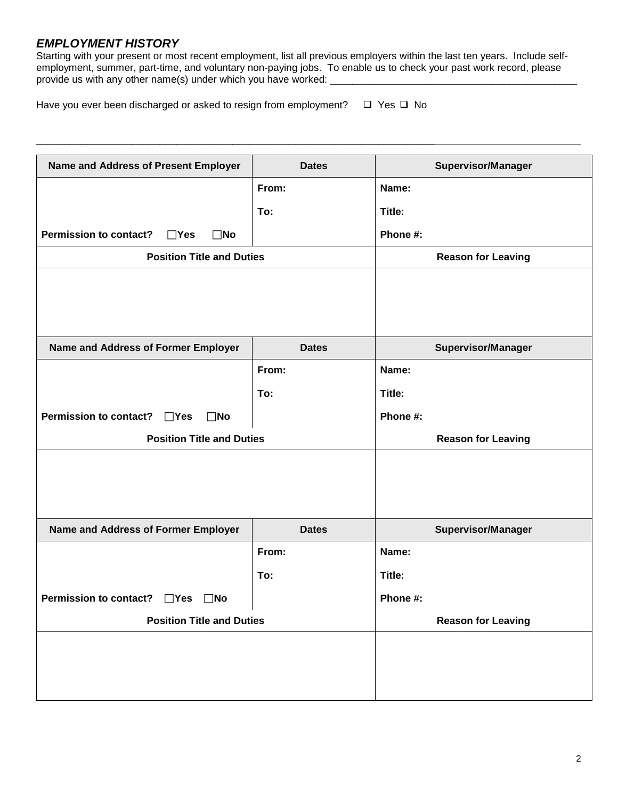### *EMPLOYMENT HISTORY*

Starting with your present or most recent employment, list all previous employers within the last ten years. Include selfemployment, summer, part-time, and voluntary non-paying jobs. To enable us to check your past work record, please provide us with any other name(s) under which you have worked:

Have you ever been discharged or asked to resign from employment?  $\Box$  Yes  $\Box$  No

\_\_\_\_\_\_\_\_\_\_\_\_\_\_\_\_\_\_\_\_\_\_\_\_\_\_\_\_\_\_\_\_\_\_\_\_\_\_\_\_\_\_\_\_\_\_\_\_\_\_\_\_\_\_\_\_\_\_\_\_\_\_\_\_\_\_\_\_\_\_\_

| Name and Address of Present Employer                        | <b>Dates</b> | <b>Supervisor/Manager</b> |
|-------------------------------------------------------------|--------------|---------------------------|
|                                                             | From:        | Name:                     |
|                                                             | To:          | Title:                    |
| <b>Permission to contact?</b><br>$\Box$ Yes<br>$\square$ No |              | Phone #:                  |
| <b>Position Title and Duties</b>                            |              | <b>Reason for Leaving</b> |
|                                                             |              |                           |
|                                                             |              |                           |
|                                                             |              |                           |
| Name and Address of Former Employer                         | <b>Dates</b> | <b>Supervisor/Manager</b> |
|                                                             | From:        | Name:                     |
|                                                             | To:          | Title:                    |
| <b>Permission to contact?</b><br>$\square$ No<br>$\Box$ Yes |              | Phone #:                  |
| <b>Position Title and Duties</b>                            |              | <b>Reason for Leaving</b> |
|                                                             |              |                           |
|                                                             |              |                           |
|                                                             |              |                           |
| Name and Address of Former Employer                         | <b>Dates</b> | <b>Supervisor/Manager</b> |
|                                                             | From:        | Name:                     |
|                                                             | To:          | Title:                    |
| Permission to contact? □Yes □No                             |              | Phone #:                  |
| <b>Position Title and Duties</b>                            |              | <b>Reason for Leaving</b> |
|                                                             |              |                           |
|                                                             |              |                           |
|                                                             |              |                           |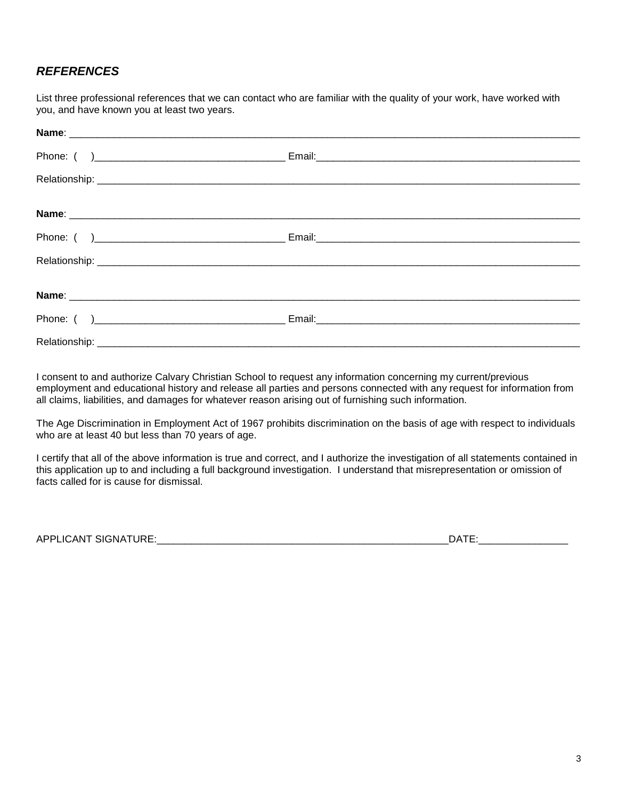## *REFERENCES*

List three professional references that we can contact who are familiar with the quality of your work, have worked with you, and have known you at least two years.

I consent to and authorize Calvary Christian School to request any information concerning my current/previous employment and educational history and release all parties and persons connected with any request for information from all claims, liabilities, and damages for whatever reason arising out of furnishing such information.

The Age Discrimination in Employment Act of 1967 prohibits discrimination on the basis of age with respect to individuals who are at least 40 but less than 70 years of age.

I certify that all of the above information is true and correct, and I authorize the investigation of all statements contained in this application up to and including a full background investigation. I understand that misrepresentation or omission of facts called for is cause for dismissal.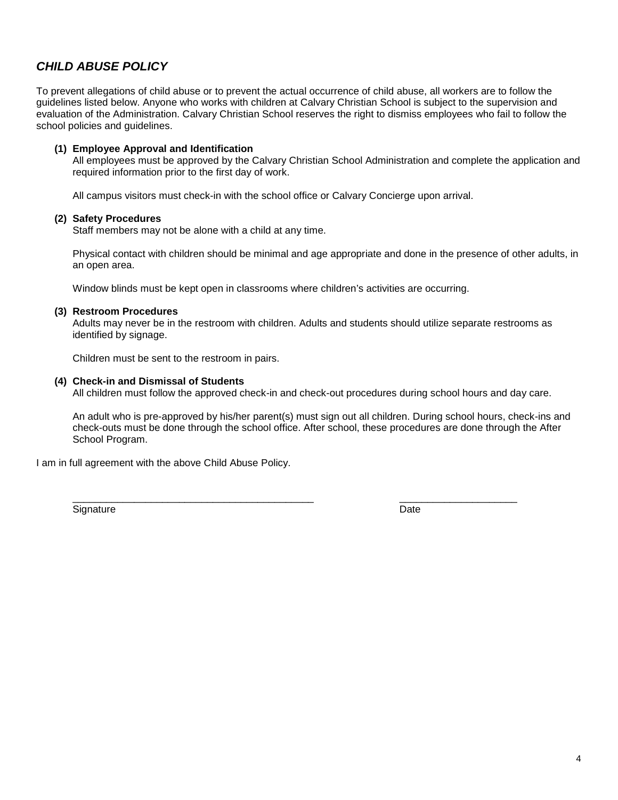### *CHILD ABUSE POLICY*

To prevent allegations of child abuse or to prevent the actual occurrence of child abuse, all workers are to follow the guidelines listed below. Anyone who works with children at Calvary Christian School is subject to the supervision and evaluation of the Administration. Calvary Christian School reserves the right to dismiss employees who fail to follow the school policies and guidelines.

#### **(1) Employee Approval and Identification**

All employees must be approved by the Calvary Christian School Administration and complete the application and required information prior to the first day of work.

All campus visitors must check-in with the school office or Calvary Concierge upon arrival.

#### **(2) Safety Procedures**

Staff members may not be alone with a child at any time.

Physical contact with children should be minimal and age appropriate and done in the presence of other adults, in an open area.

Window blinds must be kept open in classrooms where children's activities are occurring.

#### **(3) Restroom Procedures**

Adults may never be in the restroom with children. Adults and students should utilize separate restrooms as identified by signage.

Children must be sent to the restroom in pairs.

#### **(4) Check-in and Dismissal of Students**

All children must follow the approved check-in and check-out procedures during school hours and day care.

An adult who is pre-approved by his/her parent(s) must sign out all children. During school hours, check-ins and check-outs must be done through the school office. After school, these procedures are done through the After School Program.

I am in full agreement with the above Child Abuse Policy.

Signature Date Date of the Date of the Date of the Date of the Date of the Date of the Date of the Date of the Date of the Date of the Date of the Date of the Date of the Date of the Date of the Date of the Date of the Dat

\_\_\_\_\_\_\_\_\_\_\_\_\_\_\_\_\_\_\_\_\_\_\_\_\_\_\_\_\_\_\_\_\_\_\_\_\_\_\_\_\_\_\_ \_\_\_\_\_\_\_\_\_\_\_\_\_\_\_\_\_\_\_\_\_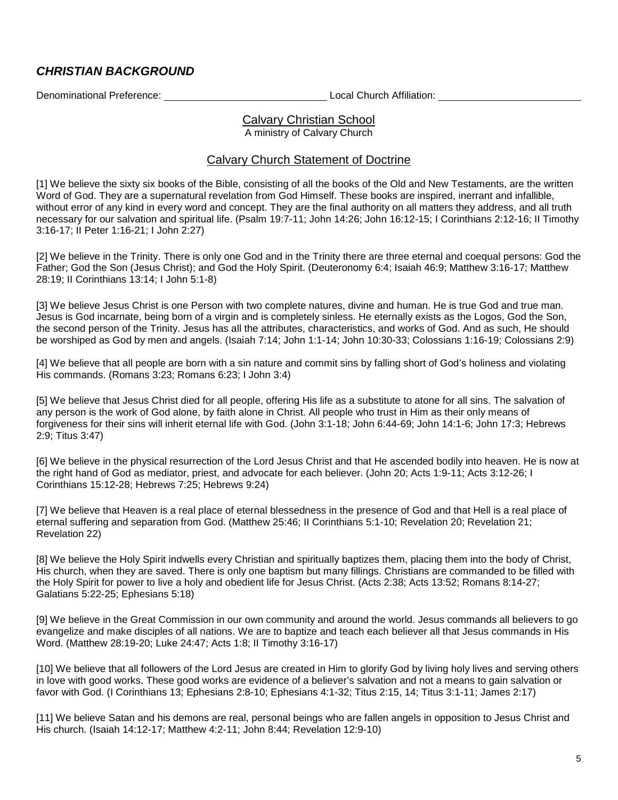### *CHRISTIAN BACKGROUND*

Denominational Preference: and the contract and the Local Church Affiliation: Contract Church Affiliation:

## Calvary Christian School

A ministry of Calvary Church

### Calvary Church Statement of Doctrine

[1] We believe the sixty six books of the Bible, consisting of all the books of the Old and New Testaments, are the written Word of God. They are a supernatural revelation from God Himself. These books are inspired, inerrant and infallible, without error of any kind in every word and concept. They are the final authority on all matters they address, and all truth necessary for our salvation and spiritual life. (Psalm 19:7-11; John 14:26; John 16:12-15; I Corinthians 2:12-16; II Timothy 3:16-17; II Peter 1:16-21; I John 2:27)

[2] We believe in the Trinity. There is only one God and in the Trinity there are three eternal and coequal persons: God the Father; God the Son (Jesus Christ); and God the Holy Spirit. (Deuteronomy 6:4; Isaiah 46:9; Matthew 3:16-17; Matthew 28:19; II Corinthians 13:14; I John 5:1-8)

[3] We believe Jesus Christ is one Person with two complete natures, divine and human. He is true God and true man. Jesus is God incarnate, being born of a virgin and is completely sinless. He eternally exists as the Logos, God the Son, the second person of the Trinity. Jesus has all the attributes, characteristics, and works of God. And as such, He should be worshiped as God by men and angels. (Isaiah 7:14; John 1:1-14; John 10:30-33; Colossians 1:16-19; Colossians 2:9)

[4] We believe that all people are born with a sin nature and commit sins by falling short of God's holiness and violating His commands. (Romans 3:23; Romans 6:23; I John 3:4)

[5] We believe that Jesus Christ died for all people, offering His life as a substitute to atone for all sins. The salvation of any person is the work of God alone, by faith alone in Christ. All people who trust in Him as their only means of forgiveness for their sins will inherit eternal life with God. (John 3:1-18; John 6:44-69; John 14:1-6; John 17:3; Hebrews 2:9; Titus 3:47)

[6] We believe in the physical resurrection of the Lord Jesus Christ and that He ascended bodily into heaven. He is now at the right hand of God as mediator, priest, and advocate for each believer. (John 20; Acts 1:9-11; Acts 3:12-26; I Corinthians 15:12-28; Hebrews 7:25; Hebrews 9:24)

[7] We believe that Heaven is a real place of eternal blessedness in the presence of God and that Hell is a real place of eternal suffering and separation from God. (Matthew 25:46; II Corinthians 5:1-10; Revelation 20; Revelation 21; Revelation 22)

[8] We believe the Holy Spirit indwells every Christian and spiritually baptizes them, placing them into the body of Christ, His church, when they are saved. There is only one baptism but many fillings. Christians are commanded to be filled with the Holy Spirit for power to live a holy and obedient life for Jesus Christ. (Acts 2:38; Acts 13:52; Romans 8:14-27; Galatians 5:22-25; Ephesians 5:18)

[9] We believe in the Great Commission in our own community and around the world. Jesus commands all believers to go evangelize and make disciples of all nations. We are to baptize and teach each believer all that Jesus commands in His Word. (Matthew 28:19-20; Luke 24:47; Acts 1:8; II Timothy 3:16-17)

[10] We believe that all followers of the Lord Jesus are created in Him to glorify God by living holy lives and serving others in love with good works. These good works are evidence of a believer's salvation and not a means to gain salvation or favor with God. (I Corinthians 13; Ephesians 2:8-10; Ephesians 4:1-32; Titus 2:15, 14; Titus 3:1-11; James 2:17)

[11] We believe Satan and his demons are real, personal beings who are fallen angels in opposition to Jesus Christ and His church. (Isaiah 14:12-17; Matthew 4:2-11; John 8:44; Revelation 12:9-10)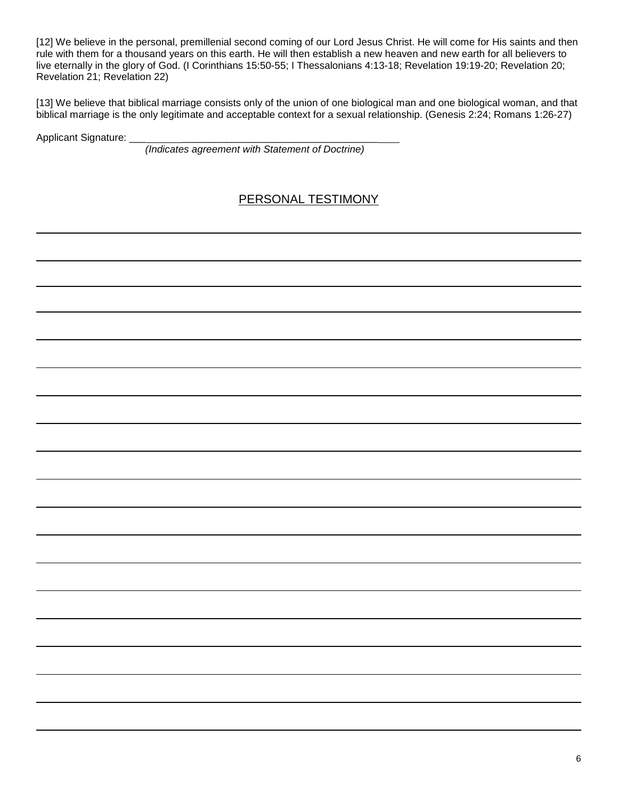[12] We believe in the personal, premillenial second coming of our Lord Jesus Christ. He will come for His saints and then rule with them for a thousand years on this earth. He will then establish a new heaven and new earth for all believers to live eternally in the glory of God. (I Corinthians 15:50-55; I Thessalonians 4:13-18; Revelation 19:19-20; Revelation 20; Revelation 21; Revelation 22)

[13] We believe that biblical marriage consists only of the union of one biological man and one biological woman, and that biblical marriage is the only legitimate and acceptable context for a sexual relationship. (Genesis 2:24; Romans 1:26-27)

Applicant Signature:

*(Indicates agreement with Statement of Doctrine)*

## PERSONAL TESTIMONY